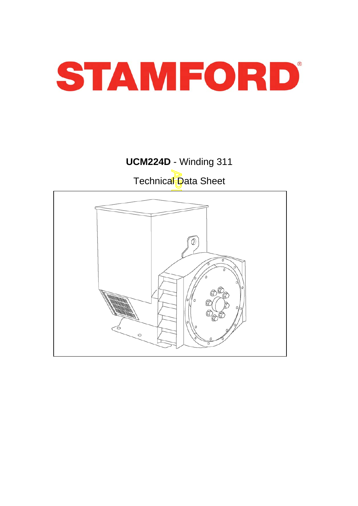

# **UCM224D** - Winding 311 Technical Data Sheet

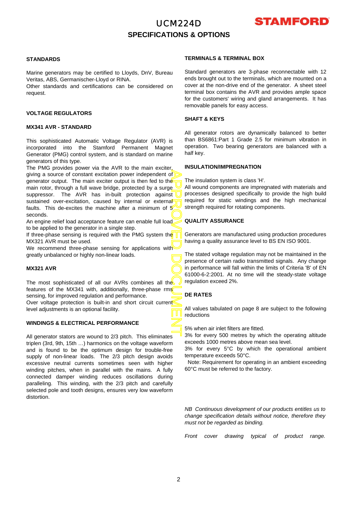# UCM224D **SPECIFICATIONS & OPTIONS**



## **STANDARDS**

Marine generators may be certified to Lloyds, DnV, Bureau Veritas, ABS, Germanischer-Lloyd or RINA.

Other standards and certifications can be considered on request.

## **VOLTAGE REGULATORS**

## **MX341 AVR - STANDARD**

This sophisticated Automatic Voltage Regulator (AVR) is incorporated into the Stamford Permanent Magnet Generator (PMG) control system, and is standard on marine generators of this type.

APPROVED DOCUMENT The PMG provides power via the AVR to the main exciter, giving a source of constant excitation power independent o f generator output. The main exciter output is then fed to the main rotor, through a full wave bridge, protected by a surge suppressor. The AVR has in-built protection against sustained over-excitation, caused by internal or external faults. This de-excites the machine after a minimum of  $5'$ seconds.

An engine relief load acceptance feature can enable full load to be applied to the generator in a single step.

If three-phase sensing is required with the PMG system the MX321 AVR must be used.

We recommend three-phase sensing for applications with greatly unbalanced or highly non-linear loads.

## **MX321 AVR**

The most sophisticated of all our AVRs combines all the features of the MX341 with, additionally, three-phase rms sensing, for improved regulation and performance. Over voltage protection is built-in and short circuit current level adjustments is an optional facility.

### **WINDINGS & ELECTRICAL PERFORMANCE**

All generator stators are wound to 2/3 pitch. This eliminates triplen (3rd, 9th, 15th …) harmonics on the voltage waveform and is found to be the optimum design for trouble-free supply of non-linear loads. The 2/3 pitch design avoids excessive neutral currents sometimes seen with higher winding pitches, when in parallel with the mains. A fully connected damper winding reduces oscillations during paralleling. This winding, with the 2/3 pitch and carefully selected pole and tooth designs, ensures very low waveform distortion.

## **TERMINALS & TERMINAL BOX**

Standard generators are 3-phase reconnectable with 12 ends brought out to the terminals, which are mounted on a cover at the non-drive end of the generator. A sheet steel terminal box contains the AVR and provides ample space for the customers' wiring and gland arrangements. It has removable panels for easy access.

#### **SHAFT & KEYS**

All generator rotors are dynamically balanced to better than BS6861:Part 1 Grade 2.5 for minimum vibration in operation. Two bearing generators are balanced with a half key.

## **INSULATION/IMPREGNATION**

The insulation system is class 'H'.

All wound components are impregnated with materials and processes designed specifically to provide the high build required for static windings and the high mechanical strength required for rotating components.

## **QUALITY ASSURANCE**

Generators are manufactured using production procedures having a quality assurance level to BS EN ISO 9001.

The stated voltage regulation may not be maintained in the presence of certain radio transmitted signals. Any change in performance will fall within the limits of Criteria 'B' of EN 61000-6-2:2001. At no time will the steady-state voltage regulation exceed 2%.

## **DE RATES**

All values tabulated on page 8 are subject to the following reductions

5% when air inlet filters are fitted.

3% for every 500 metres by which the operating altitude exceeds 1000 metres above mean sea level.

3% for every 5°C by which the operational ambient temperature exceeds 50°C.

Note: Requirement for operating in an ambient exceeding 60°C must be referred to the factory.

*NB Continuous development of our products entitles us to change specification details without notice, therefore they must not be regarded as binding.* 

*Front cover drawing typical of product range.*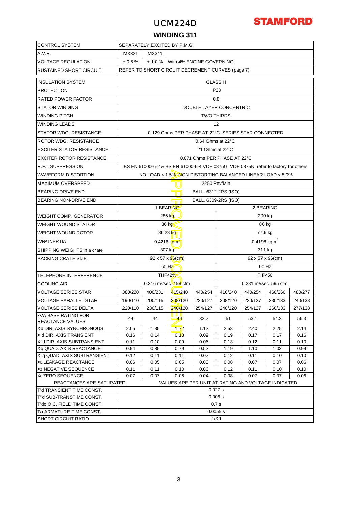## UCM224D



## **WINDING 311**

| <b>CONTROL SYSTEM</b>                                    | SEPARATELY EXCITED BY P.M.G.                                                                                        |                                              |                               |                      |                                   |                                                    |                                                                                      |         |  |  |
|----------------------------------------------------------|---------------------------------------------------------------------------------------------------------------------|----------------------------------------------|-------------------------------|----------------------|-----------------------------------|----------------------------------------------------|--------------------------------------------------------------------------------------|---------|--|--|
| A.V.R.                                                   | MX321<br>MX341                                                                                                      |                                              |                               |                      |                                   |                                                    |                                                                                      |         |  |  |
| <b>VOLTAGE REGULATION</b>                                | $\pm 0.5 \%$                                                                                                        | ± 1.0 %                                      | With 4% ENGINE GOVERNING      |                      |                                   |                                                    |                                                                                      |         |  |  |
| SUSTAINED SHORT CIRCUIT                                  | REFER TO SHORT CIRCUIT DECREMENT CURVES (page 7)                                                                    |                                              |                               |                      |                                   |                                                    |                                                                                      |         |  |  |
| <b>INSULATION SYSTEM</b>                                 |                                                                                                                     |                                              |                               |                      | <b>CLASS H</b>                    |                                                    |                                                                                      |         |  |  |
| <b>PROTECTION</b>                                        |                                                                                                                     | IP <sub>23</sub>                             |                               |                      |                                   |                                                    |                                                                                      |         |  |  |
| RATED POWER FACTOR                                       |                                                                                                                     |                                              |                               |                      | 0.8                               |                                                    |                                                                                      |         |  |  |
| STATOR WINDING                                           |                                                                                                                     |                                              |                               |                      |                                   |                                                    |                                                                                      |         |  |  |
|                                                          |                                                                                                                     | DOUBLE LAYER CONCENTRIC<br><b>TWO THIRDS</b> |                               |                      |                                   |                                                    |                                                                                      |         |  |  |
| WINDING PITCH                                            |                                                                                                                     | 12                                           |                               |                      |                                   |                                                    |                                                                                      |         |  |  |
| <b>WINDING LEADS</b>                                     |                                                                                                                     |                                              |                               |                      |                                   |                                                    |                                                                                      |         |  |  |
| STATOR WDG. RESISTANCE                                   |                                                                                                                     |                                              |                               |                      |                                   | 0.129 Ohms PER PHASE AT 22°C SERIES STAR CONNECTED |                                                                                      |         |  |  |
| ROTOR WDG. RESISTANCE                                    |                                                                                                                     |                                              |                               | 0.64 Ohms at 22°C    |                                   |                                                    |                                                                                      |         |  |  |
| EXCITER STATOR RESISTANCE                                |                                                                                                                     |                                              |                               | 21 Ohms at 22°C      |                                   |                                                    |                                                                                      |         |  |  |
| <b>EXCITER ROTOR RESISTANCE</b>                          |                                                                                                                     |                                              |                               |                      | 0.071 Ohms PER PHASE AT 22°C      |                                                    |                                                                                      |         |  |  |
| R.F.I. SUPPRESSION                                       |                                                                                                                     |                                              |                               |                      |                                   |                                                    | BS EN 61000-6-2 & BS EN 61000-6-4, VDE 0875G, VDE 0875N. refer to factory for others |         |  |  |
| <b>WAVEFORM DISTORTION</b>                               |                                                                                                                     |                                              |                               |                      |                                   |                                                    | NO LOAD < 1.5% NON-DISTORTING BALANCED LINEAR LOAD < 5.0%                            |         |  |  |
| <b>MAXIMUM OVERSPEED</b>                                 |                                                                                                                     |                                              |                               |                      | 2250 Rev/Min                      |                                                    |                                                                                      |         |  |  |
| <b>BEARING DRIVE END</b>                                 |                                                                                                                     |                                              |                               | BALL. 6312-2RS (ISO) |                                   |                                                    |                                                                                      |         |  |  |
| BEARING NON-DRIVE END                                    |                                                                                                                     |                                              |                               | BALL. 6309-2RS (ISO) |                                   |                                                    |                                                                                      |         |  |  |
|                                                          |                                                                                                                     |                                              | 1 BEARING                     |                      |                                   |                                                    | 2 BEARING                                                                            |         |  |  |
| WEIGHT COMP. GENERATOR                                   | 285 kg<br>290 kg                                                                                                    |                                              |                               |                      |                                   |                                                    |                                                                                      |         |  |  |
| <b>WEIGHT WOUND STATOR</b>                               |                                                                                                                     |                                              | 86 kg                         |                      |                                   | 86 kg                                              |                                                                                      |         |  |  |
| WEIGHT WOUND ROTOR                                       | 86.28 kg<br>77.9 kg                                                                                                 |                                              |                               |                      |                                   |                                                    |                                                                                      |         |  |  |
| <b>WR<sup>2</sup> INERTIA</b>                            | $0.4198$ kgm <sup>2</sup><br>$0.4216 \text{ kgm}^2$                                                                 |                                              |                               |                      |                                   |                                                    |                                                                                      |         |  |  |
| SHIPPING WEIGHTS in a crate                              | 307 kg<br>311 kg                                                                                                    |                                              |                               |                      |                                   |                                                    |                                                                                      |         |  |  |
| PACKING CRATE SIZE                                       |                                                                                                                     |                                              | $92 \times 57 \times 96$ (cm) |                      |                                   |                                                    | $92 \times 57 \times 96$ (cm)                                                        |         |  |  |
|                                                          |                                                                                                                     |                                              | 50 Hz                         |                      |                                   |                                                    | 60 Hz                                                                                |         |  |  |
| TELEPHONE INTERFERENCE                                   |                                                                                                                     |                                              | THF < 2%                      |                      |                                   |                                                    | <b>TIF&lt;50</b>                                                                     |         |  |  |
| COOLING AIR                                              |                                                                                                                     |                                              | 0.216 $m^3$ /sec 458 cfm      |                      | 0.281 m <sup>3</sup> /sec 595 cfm |                                                    |                                                                                      |         |  |  |
| VOLTAGE SERIES STAR                                      | 380/220                                                                                                             | 400/231                                      | 415/240                       | 440/254              | 416/240                           | 440/254                                            | 460/266                                                                              | 480/277 |  |  |
| VOLTAGE PARALLEL STAR                                    | 190/110                                                                                                             | 200/115                                      | 208/120                       | 220/127              | 208/120                           | 220/127                                            | 230/133                                                                              | 240/138 |  |  |
| VOLTAGE SERIES DELTA                                     | 220/110                                                                                                             | 230/115                                      | 240/120                       | 254/127              | 240/120                           | 254/127                                            | 266/133                                                                              | 277/138 |  |  |
| <b>kVA BASE RATING FOR</b><br>REACTANCE VALUES           | 44                                                                                                                  | 44                                           | u u u<br>$-44$                | 32.7                 | 51                                | 53.1                                               | 54.3                                                                                 | 56.3    |  |  |
| Xd DIR. AXIS SYNCHRONOUS                                 | 2.05                                                                                                                | 1.85                                         | 1.72                          | 1.13                 | 2.58                              | 2.40                                               | 2.25                                                                                 | 2.14    |  |  |
| X'd DIR. AXIS TRANSIENT                                  | 0.16                                                                                                                | 0.14                                         | 0.13                          | 0.09                 | 0.19                              | 0.17                                               | 0.17                                                                                 | 0.16    |  |  |
| X"d DIR. AXIS SUBTRANSIENT                               | 0.11                                                                                                                | 0.10                                         | 0.09                          | 0.06                 | 0.13                              | 0.12                                               | 0.11                                                                                 | 0.10    |  |  |
| Xq QUAD. AXIS REACTANCE                                  | 0.94                                                                                                                | 0.85                                         | 0.79                          | 0.52                 | 1.19                              | 1.10                                               | 1.03                                                                                 | 0.99    |  |  |
| X"g QUAD. AXIS SUBTRANSIENT                              | 0.12                                                                                                                | 0.11                                         | 0.11                          | 0.07                 | 0.12                              | 0.11                                               | 0.10                                                                                 | 0.10    |  |  |
| XL LEAKAGE REACTANCE                                     | 0.06                                                                                                                | 0.05                                         | 0.05                          | 0.03                 | 0.08                              | 0.07                                               | 0.07                                                                                 | 0.06    |  |  |
| X <sub>2</sub> NEGATIVE SEQUENCE                         | 0.11                                                                                                                | 0.11                                         | 0.10                          | 0.06                 | 0.12                              | 0.11                                               | 0.10                                                                                 | 0.10    |  |  |
| X <sub>0</sub> ZERO SEQUENCE<br>REACTANCES ARE SATURATED | 0.07<br>0.07<br>0.06<br>0.04<br>0.08<br>0.07<br>0.07<br>0.06<br>VALUES ARE PER UNIT AT RATING AND VOLTAGE INDICATED |                                              |                               |                      |                                   |                                                    |                                                                                      |         |  |  |
| T'd TRANSIENT TIME CONST.                                |                                                                                                                     |                                              |                               |                      | 0.027 s                           |                                                    |                                                                                      |         |  |  |
| T"d SUB-TRANSTIME CONST.                                 |                                                                                                                     |                                              |                               |                      | 0.006 s                           |                                                    |                                                                                      |         |  |  |
| T'do O.C. FIELD TIME CONST.                              |                                                                                                                     |                                              |                               |                      | 0.7s                              |                                                    |                                                                                      |         |  |  |
| Ta ARMATURE TIME CONST.                                  |                                                                                                                     |                                              |                               |                      | 0.0055 s                          |                                                    |                                                                                      |         |  |  |
| <b>SHORT CIRCUIT RATIO</b>                               | 1/Xd                                                                                                                |                                              |                               |                      |                                   |                                                    |                                                                                      |         |  |  |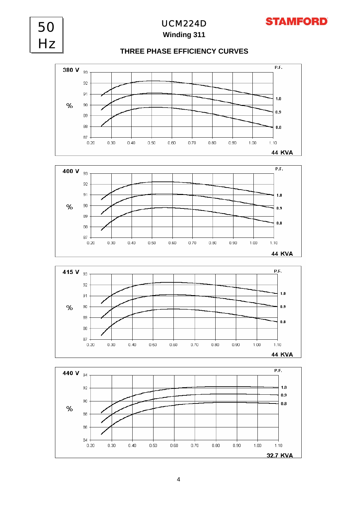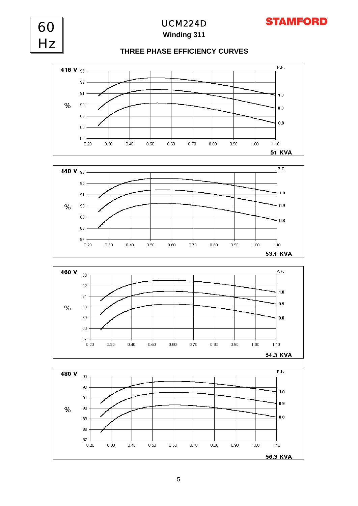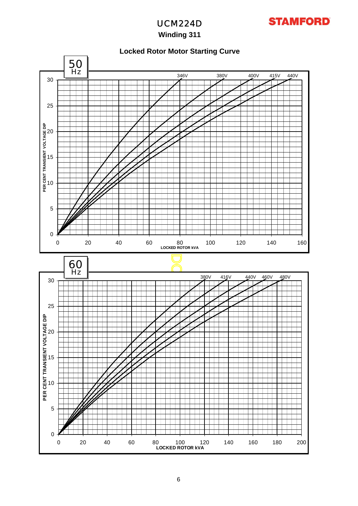

# UCM224D

# **Winding 311**

## **Locked Rotor Motor Starting Curve**

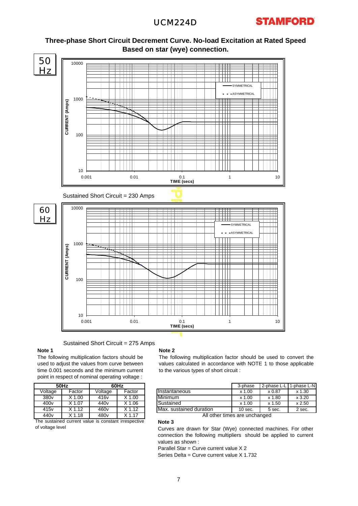

## **Three-phase Short Circuit Decrement Curve. No-load Excitation at Rated Speed Based on star (wye) connection.**

Sustained Short Circuit = 275 Amps

### **Note 1**

The following multiplication factors should be used to adjust the values from curve between time 0.001 seconds and the minimum current point in respect of nominal operating voltage :

| 50Hz              | 60Hz                                                |                     |  |  |  |
|-------------------|-----------------------------------------------------|---------------------|--|--|--|
| Factor            | Voltage                                             | Factor              |  |  |  |
| $X$ 1.00          | 416v                                                | $X$ 1.00            |  |  |  |
| X 1.07            | 440 <sub>v</sub>                                    | $\overline{X}$ 1.06 |  |  |  |
| $X$ 1.12          | 460 <sub>v</sub>                                    | $X$ 1.12            |  |  |  |
| X <sub>1.18</sub> | 480 <sub>v</sub>                                    | $X$ 1.17            |  |  |  |
|                   | The customed current volve is constant importantive |                     |  |  |  |

The sustained current value is constant irrespective of voltage level

### **Note 2**

The following multiplication factor should be used to convert the values calculated in accordance with NOTE 1 to those applicable to the various types of short circuit :

|                  | 50Hz   |                  | 60Hz   |                               | 3-phase   | 2-phase L-L | 1-phase L-N <sub>1</sub> |
|------------------|--------|------------------|--------|-------------------------------|-----------|-------------|--------------------------|
| Voltage          | Factor | Voltage          | Factor | <b>Instantaneous</b>          | $x$ 1.00  | x 0.87      | x 1.30                   |
| 380 <sub>v</sub> | 1.00   | 416v             | 1.00   | Minimum                       | x 1.00    | x 1.80      | $x$ 3.20                 |
| 400 <sub>v</sub> | X 1.07 | 440 <sub>v</sub> | 1.06   | <b>Sustained</b>              | $x$ 1.00  | x 1.50      | x 2.50                   |
| 415 <sub>v</sub> | 1.12   | 460 <sub>v</sub> | X 1.12 | Max. sustained duration       | $10$ sec. | 5 sec.      | 2 sec.                   |
| 440 <sub>v</sub> | .18    | 480 <sub>v</sub> | X 1.17 | All other times are unchanged |           |             |                          |

## **Note 3**

Curves are drawn for Star (Wye) connected machines. For othe r connection the following multipliers should be applied to current values as shown :

Parallel Star = Curve current value X 2

Series Delta = Curve current value X 1.732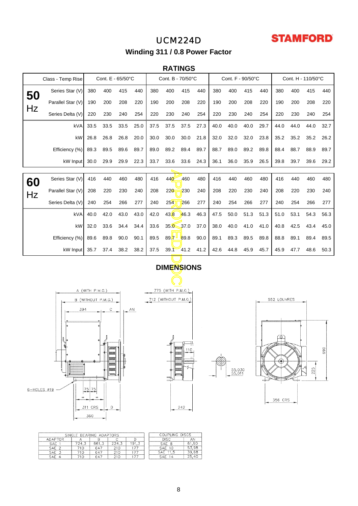# **STAMFORD**

# UCM224D **Winding 311 / 0.8 Power Factor**

## **RATINGS**

|    | Class - Temp Rise |                    | Cont. E - 65/50°C |      |      | Cont. B - 70/50°C |                      |                   | Cont. F - 90/50°C |      |      |      | Cont. H - 110/50°C |             |      |      |      |
|----|-------------------|--------------------|-------------------|------|------|-------------------|----------------------|-------------------|-------------------|------|------|------|--------------------|-------------|------|------|------|
| 50 | Series Star (V)   | 380                | 400               | 415  | 440  | 380               | 400                  | 415               | 440               | 380  | 400  | 415  | 440                | 380         | 400  | 415  | 440  |
|    | Parallel Star (V) | 190                | 200               | 208  | 220  | 190               | 200                  | 208               | 220               | 190  | 200  | 208  | 220                | 190         | 200  | 208  | 220  |
| Hz | Series Delta (V)  | 220                | 230               | 240  | 254  | 220               | 230                  | 240               | 254               | 220  | 230  | 240  | 254                | 220         | 230  | 240  | 254  |
|    | kVA               | 33.5               | 33.5              | 33.5 | 25.0 | 37.5              | 37.5                 | 37.5              | 27.3              | 40.0 | 40.0 | 40.0 | 29.7               | 44.0        | 44.0 | 44.0 | 32.7 |
|    | kW                | 26.8               | 26.8              | 26.8 | 20.0 | 30.0              | 30.0                 | 30.0              | 21.8              | 32.0 | 32.0 | 32.0 | 23.8               | 35.2        | 35.2 | 35.2 | 26.2 |
|    | Efficiency (%)    | 89.3               | 89.5              | 89.6 | 89.7 | 89.0              | 89.2                 | 89.4              | 89.7              | 88.7 | 89.0 | 89.2 | 89.8               | 88.4        | 88.7 | 88.9 | 89.7 |
|    | kW Input          | 30.0               | 29.9              | 29.9 | 22.3 | 33.7              | 33.6                 | 33.6              | 24.3              | 36.1 | 36.0 | 35.9 | 26.5               | 39.8        | 39.7 | 39.6 | 29.2 |
|    |                   |                    |                   |      |      |                   |                      |                   |                   |      |      |      |                    |             |      |      |      |
| 60 | Series Star (V)   | 416                | 440               | 460  | 480  | 416               | 440                  | 460               | 480               | 416  | 440  | 460  | 480                | 416         | 440  | 460  | 480  |
| Hz | Parallel Star (V) | 208                | 220               | 230  | 240  | 208               | 220                  | 230               | 240               | 208  | 220  | 230  | 240                | 208         | 220  | 230  | 240  |
|    | Series Delta (V)  | 240                | 254               | 266  | 277  | 240               | 254                  | 266               | 277               | 240  | 254  | 266  | 277                | 240         | 254  | 266  | 277  |
|    | kVA               | 40.0               | 42.0              | 43.0 | 43.0 | 42.0              | 43.8                 | 46.3              | 46.3              | 47.5 | 50.0 | 51.3 | 51.3               | 51.0        | 53.1 | 54.3 | 56.3 |
|    | kW                | 32.0               | 33.6              | 34.4 | 34.4 | 33.6              |                      | $35.0 - 37.0$     | 37.0              | 38.0 | 40.0 | 41.0 | 41.0               | 40.8        | 42.5 | 43.4 | 45.0 |
|    | Efficiency (%)    | 89.6               | 89.8              | 90.0 | 90.1 | 89.5              | 89.7 $\blacksquare$  | 89.8              | 90.0              | 89.1 | 89.3 | 89.5 | 89.8               | 88.8        | 89.1 | 89.4 | 89.5 |
|    | kW Input          | 35.7               | 37.4              | 38.2 | 38.2 | 37.5              |                      | $39.1 - 41.2$     | 41.2              | 42.6 | 44.8 | 45.9 | 45.7               | 45.9        | 47.7 | 48.6 | 50.3 |
|    |                   |                    |                   |      |      |                   |                      | <b>DIMENSIONS</b> |                   |      |      |      |                    |             |      |      |      |
|    |                   |                    |                   |      |      |                   |                      |                   |                   |      |      |      |                    |             |      |      |      |
|    |                   | A (WITH P.M.G.)    |                   |      |      |                   | 775 (WITH P.M.G.)    |                   |                   |      |      |      |                    |             |      |      |      |
|    |                   | B (WITHOUT P.M.G.) |                   |      |      |                   | 712 (WITHOUT P.M.G.) |                   |                   |      |      |      |                    | 552 LOUVRES |      |      |      |
|    | 394               |                    | С                 |      | ΑN   |                   |                      |                   |                   |      |      |      |                    |             |      |      |      |
|    |                   |                    |                   |      |      |                   |                      |                   |                   |      |      |      |                    |             |      |      |      |
|    |                   |                    |                   |      |      |                   |                      |                   |                   |      |      |      |                    |             |      |      |      |
|    |                   |                    |                   |      |      |                   |                      |                   |                   |      |      |      |                    |             |      |      |      |

# **DIMENSIONS**





55,030<br>55,011



|                | SINGLE BEARING ADAPTORS | COUPLING DISCS |       |                |               |       |
|----------------|-------------------------|----------------|-------|----------------|---------------|-------|
| <b>ADAPTOR</b> |                         |                |       |                | <b>DISC</b>   | AΝ    |
| <b>SAE</b>     | 724.3                   | 661            | 224.4 | 191            | SAF           | 61.90 |
| SAE            | 710                     | 647            |       |                | <b>SAE 10</b> | 53.98 |
| SAE            | 10                      | 647            |       | $\overline{7}$ | SAE 11.5      | 39.68 |
| SAF            | 10                      | 647            |       |                | ⊂∆F           | 25,40 |